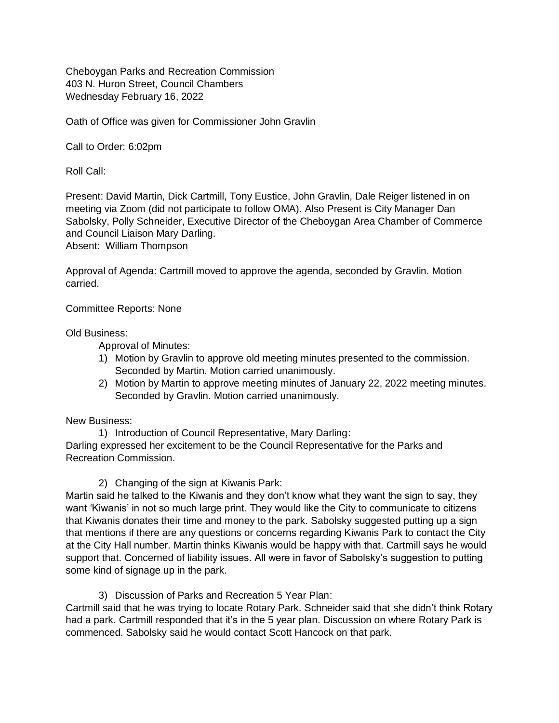Cheboygan Parks and Recreation Commission 403 N. Huron Street, Council Chambers Wednesday February 16, 2022

Oath of Office was given for Commissioner John Gravlin

Call to Order: 6:02pm

Roll Call:

Present: David Martin, Dick Cartmill, Tony Eustice, John Gravlin, Dale Reiger listened in on meeting via Zoom (did not participate to follow OMA). Also Present is City Manager Dan Sabolsky, Polly Schneider, Executive Director of the Cheboygan Area Chamber of Commerce and Council Liaison Mary Darling.

Absent: William Thompson

Approval of Agenda: Cartmill moved to approve the agenda, seconded by Gravlin. Motion carried.

Committee Reports: None

Old Business:

Approval of Minutes:

- 1) Motion by Gravlin to approve old meeting minutes presented to the commission. Seconded by Martin. Motion carried unanimously.
- 2) Motion by Martin to approve meeting minutes of January 22, 2022 meeting minutes. Seconded by Gravlin. Motion carried unanimously.

New Business:

1) Introduction of Council Representative, Mary Darling: Darling expressed her excitement to be the Council Representative for the Parks and Recreation Commission.

2) Changing of the sign at Kiwanis Park:

Martin said he talked to the Kiwanis and they don't know what they want the sign to say, they want 'Kiwanis' in not so much large print. They would like the City to communicate to citizens that Kiwanis donates their time and money to the park. Sabolsky suggested putting up a sign that mentions if there are any questions or concerns regarding Kiwanis Park to contact the City at the City Hall number. Martin thinks Kiwanis would be happy with that. Cartmill says he would support that. Concerned of liability issues. All were in favor of Sabolsky's suggestion to putting some kind of signage up in the park.

3) Discussion of Parks and Recreation 5 Year Plan:

Cartmill said that he was trying to locate Rotary Park. Schneider said that she didn't think Rotary had a park. Cartmill responded that it's in the 5 year plan. Discussion on where Rotary Park is commenced. Sabolsky said he would contact Scott Hancock on that park.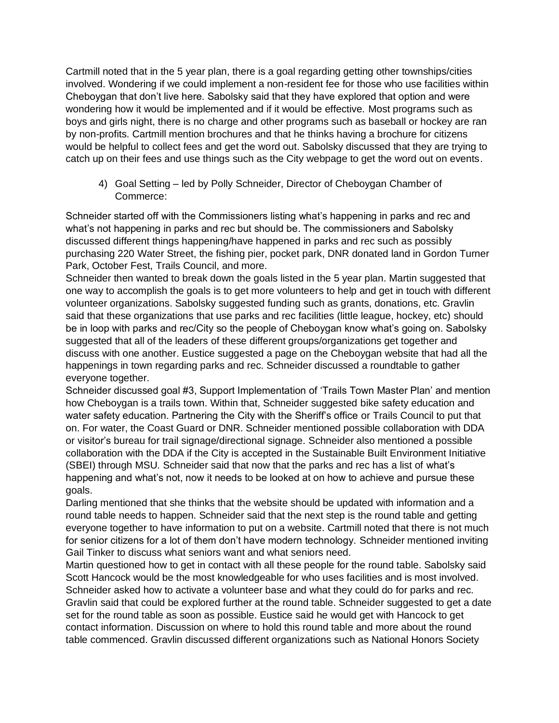Cartmill noted that in the 5 year plan, there is a goal regarding getting other townships/cities involved. Wondering if we could implement a non-resident fee for those who use facilities within Cheboygan that don't live here. Sabolsky said that they have explored that option and were wondering how it would be implemented and if it would be effective. Most programs such as boys and girls night, there is no charge and other programs such as baseball or hockey are ran by non-profits. Cartmill mention brochures and that he thinks having a brochure for citizens would be helpful to collect fees and get the word out. Sabolsky discussed that they are trying to catch up on their fees and use things such as the City webpage to get the word out on events.

4) Goal Setting – led by Polly Schneider, Director of Cheboygan Chamber of Commerce:

Schneider started off with the Commissioners listing what's happening in parks and rec and what's not happening in parks and rec but should be. The commissioners and Sabolsky discussed different things happening/have happened in parks and rec such as possibly purchasing 220 Water Street, the fishing pier, pocket park, DNR donated land in Gordon Turner Park, October Fest, Trails Council, and more.

Schneider then wanted to break down the goals listed in the 5 year plan. Martin suggested that one way to accomplish the goals is to get more volunteers to help and get in touch with different volunteer organizations. Sabolsky suggested funding such as grants, donations, etc. Gravlin said that these organizations that use parks and rec facilities (little league, hockey, etc) should be in loop with parks and rec/City so the people of Cheboygan know what's going on. Sabolsky suggested that all of the leaders of these different groups/organizations get together and discuss with one another. Eustice suggested a page on the Cheboygan website that had all the happenings in town regarding parks and rec. Schneider discussed a roundtable to gather everyone together.

Schneider discussed goal #3, Support Implementation of 'Trails Town Master Plan' and mention how Cheboygan is a trails town. Within that, Schneider suggested bike safety education and water safety education. Partnering the City with the Sheriff's office or Trails Council to put that on. For water, the Coast Guard or DNR. Schneider mentioned possible collaboration with DDA or visitor's bureau for trail signage/directional signage. Schneider also mentioned a possible collaboration with the DDA if the City is accepted in the Sustainable Built Environment Initiative (SBEI) through MSU. Schneider said that now that the parks and rec has a list of what's happening and what's not, now it needs to be looked at on how to achieve and pursue these goals.

Darling mentioned that she thinks that the website should be updated with information and a round table needs to happen. Schneider said that the next step is the round table and getting everyone together to have information to put on a website. Cartmill noted that there is not much for senior citizens for a lot of them don't have modern technology. Schneider mentioned inviting Gail Tinker to discuss what seniors want and what seniors need.

Martin questioned how to get in contact with all these people for the round table. Sabolsky said Scott Hancock would be the most knowledgeable for who uses facilities and is most involved. Schneider asked how to activate a volunteer base and what they could do for parks and rec. Gravlin said that could be explored further at the round table. Schneider suggested to get a date set for the round table as soon as possible. Eustice said he would get with Hancock to get contact information. Discussion on where to hold this round table and more about the round table commenced. Gravlin discussed different organizations such as National Honors Society